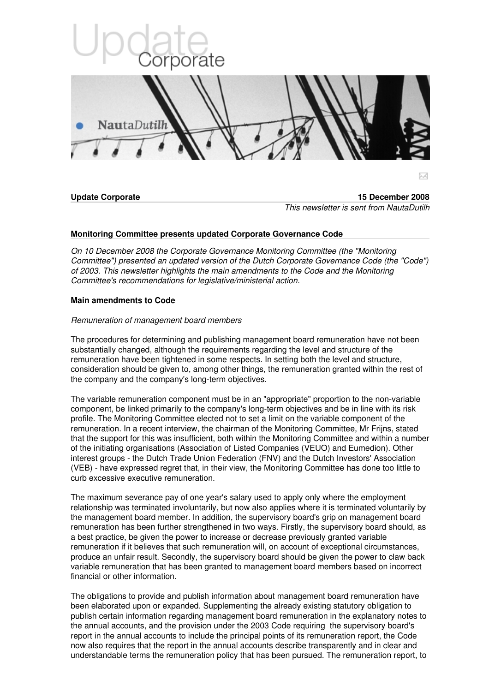

# **Monitoring Committee presents updated Corporate Governance Code**

*On 10 December 2008 the Corporate Governance Monitoring Committee (the "Monitoring Committee") presented an updated version of the Dutch Corporate Governance Code (the "Code") of 2003. This newsletter highlights the main amendments to the Code and the Monitoring Committee's recommendations for legislative/ministerial action.*

## **Main amendments to Code**

## *Remuneration of management board members*

The procedures for determining and publishing management board remuneration have not been substantially changed, although the requirements regarding the level and structure of the remuneration have been tightened in some respects. In setting both the level and structure, consideration should be given to, among other things, the remuneration granted within the rest of the company and the company's long-term objectives.

The variable remuneration component must be in an "appropriate" proportion to the non-variable component, be linked primarily to the company's long-term objectives and be in line with its risk profile. The Monitoring Committee elected not to set a limit on the variable component of the remuneration. In a recent interview, the chairman of the Monitoring Committee, Mr Frijns, stated that the support for this was insufficient, both within the Monitoring Committee and within a number of the initiating organisations (Association of Listed Companies (VEUO) and Eumedion). Other interest groups - the Dutch Trade Union Federation (FNV) and the Dutch Investors' Association (VEB) - have expressed regret that, in their view, the Monitoring Committee has done too little to curb excessive executive remuneration.

The maximum severance pay of one year's salary used to apply only where the employment relationship was terminated involuntarily, but now also applies where it is terminated voluntarily by the management board member. In addition, the supervisory board's grip on management board remuneration has been further strengthened in two ways. Firstly, the supervisory board should, as a best practice, be given the power to increase or decrease previously granted variable remuneration if it believes that such remuneration will, on account of exceptional circumstances, produce an unfair result. Secondly, the supervisory board should be given the power to claw back variable remuneration that has been granted to management board members based on incorrect financial or other information.

The obligations to provide and publish information about management board remuneration have been elaborated upon or expanded. Supplementing the already existing statutory obligation to publish certain information regarding management board remuneration in the explanatory notes to the annual accounts, and the provision under the 2003 Code requiring the supervisory board's report in the annual accounts to include the principal points of its remuneration report, the Code now also requires that the report in the annual accounts describe transparently and in clear and understandable terms the remuneration policy that has been pursued. The remuneration report, to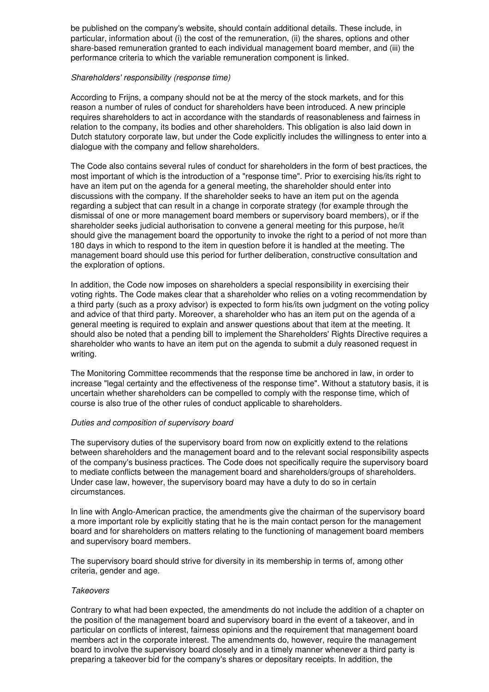be published on the company's website, should contain additional details. These include, in particular, information about (i) the cost of the remuneration, (ii) the shares, options and other share-based remuneration granted to each individual management board member, and (iii) the performance criteria to which the variable remuneration component is linked.

### *Shareholders' responsibility (response time)*

According to Frijns, a company should not be at the mercy of the stock markets, and for this reason a number of rules of conduct for shareholders have been introduced. A new principle requires shareholders to act in accordance with the standards of reasonableness and fairness in relation to the company, its bodies and other shareholders. This obligation is also laid down in Dutch statutory corporate law, but under the Code explicitly includes the willingness to enter into a dialogue with the company and fellow shareholders.

The Code also contains several rules of conduct for shareholders in the form of best practices, the most important of which is the introduction of a "response time". Prior to exercising his/its right to have an item put on the agenda for a general meeting, the shareholder should enter into discussions with the company. If the shareholder seeks to have an item put on the agenda regarding a subject that can result in a change in corporate strategy (for example through the dismissal of one or more management board members or supervisory board members), or if the shareholder seeks judicial authorisation to convene a general meeting for this purpose, he/it should give the management board the opportunity to invoke the right to a period of not more than 180 days in which to respond to the item in question before it is handled at the meeting. The management board should use this period for further deliberation, constructive consultation and the exploration of options.

In addition, the Code now imposes on shareholders a special responsibility in exercising their voting rights. The Code makes clear that a shareholder who relies on a voting recommendation by a third party (such as a proxy advisor) is expected to form his/its own judgment on the voting policy and advice of that third party. Moreover, a shareholder who has an item put on the agenda of a general meeting is required to explain and answer questions about that item at the meeting. It should also be noted that a pending bill to implement the Shareholders' Rights Directive requires a shareholder who wants to have an item put on the agenda to submit a duly reasoned request in writing.

The Monitoring Committee recommends that the response time be anchored in law, in order to increase "legal certainty and the effectiveness of the response time". Without a statutory basis, it is uncertain whether shareholders can be compelled to comply with the response time, which of course is also true of the other rules of conduct applicable to shareholders.

## *Duties and composition of supervisory board*

The supervisory duties of the supervisory board from now on explicitly extend to the relations between shareholders and the management board and to the relevant social responsibility aspects of the company's business practices. The Code does not specifically require the supervisory board to mediate conflicts between the management board and shareholders/groups of shareholders. Under case law, however, the supervisory board may have a duty to do so in certain circumstances.

In line with Anglo-American practice, the amendments give the chairman of the supervisory board a more important role by explicitly stating that he is the main contact person for the management board and for shareholders on matters relating to the functioning of management board members and supervisory board members.

The supervisory board should strive for diversity in its membership in terms of, among other criteria, gender and age.

## *Takeovers*

Contrary to what had been expected, the amendments do not include the addition of a chapter on the position of the management board and supervisory board in the event of a takeover, and in particular on conflicts of interest, fairness opinions and the requirement that management board members act in the corporate interest. The amendments do, however, require the management board to involve the supervisory board closely and in a timely manner whenever a third party is preparing a takeover bid for the company's shares or depositary receipts. In addition, the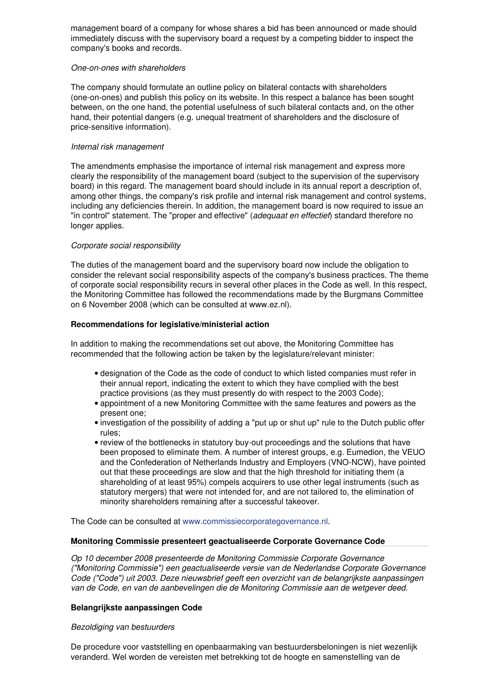management board of a company for whose shares a bid has been announced or made should immediately discuss with the supervisory board a request by a competing bidder to inspect the company's books and records.

## *One-on-ones with shareholders*

The company should formulate an outline policy on bilateral contacts with shareholders (one-on-ones) and publish this policy on its website. In this respect a balance has been sought between, on the one hand, the potential usefulness of such bilateral contacts and, on the other hand, their potential dangers (e.g. unequal treatment of shareholders and the disclosure of price-sensitive information).

## *Internal risk management*

The amendments emphasise the importance of internal risk management and express more clearly the responsibility of the management board (subject to the supervision of the supervisory board) in this regard. The management board should include in its annual report a description of, among other things, the company's risk profile and internal risk management and control systems, including any deficiencies therein. In addition, the management board is now required to issue an "in control" statement. The "proper and effective" (*adequaat en effectief*) standard therefore no longer applies.

## *Corporate social responsibility*

The duties of the management board and the supervisory board now include the obligation to consider the relevant social responsibility aspects of the company's business practices. The theme of corporate social responsibility recurs in several other places in the Code as well. In this respect, the Monitoring Committee has followed the recommendations made by the Burgmans Committee on 6 November 2008 (which can be consulted at www.ez.nl).

## **Recommendations for legislative/ministerial action**

In addition to making the recommendations set out above, the Monitoring Committee has recommended that the following action be taken by the legislature/relevant minister:

- designation of the Code as the code of conduct to which listed companies must refer in their annual report, indicating the extent to which they have complied with the best practice provisions (as they must presently do with respect to the 2003 Code);
- appointment of a new Monitoring Committee with the same features and powers as the present one;
- investigation of the possibility of adding a "put up or shut up" rule to the Dutch public offer rules;
- review of the bottlenecks in statutory buy-out proceedings and the solutions that have been proposed to eliminate them. A number of interest groups, e.g. Eumedion, the VEUO and the Confederation of Netherlands Industry and Employers (VNO-NCW), have pointed out that these proceedings are slow and that the high threshold for initiating them (a shareholding of at least 95%) compels acquirers to use other legal instruments (such as statutory mergers) that were not intended for, and are not tailored to, the elimination of minority shareholders remaining after a successful takeover.

The Code can be consulted at [www.commissiecorporategovernance.nl.](http://www.commissiecorporategovernance.nl/)

## **Monitoring Commissie presenteert geactualiseerde Corporate Governance Code**

*Op 10 december 2008 presenteerde de Monitoring Commissie Corporate Governance ("Monitoring Commissie") een geactualiseerde versie van de Nederlandse Corporate Governance Code ("Code") uit 2003. Deze nieuwsbrief geeft een overzicht van de belangrijkste aanpassingen van de Code, en van de aanbevelingen die de Monitoring Commissie aan de wetgever deed.*

## **Belangrijkste aanpassingen Code**

#### *Bezoldiging van bestuurders*

De procedure voor vaststelling en openbaarmaking van bestuurdersbeloningen is niet wezenlijk veranderd. Wel worden de vereisten met betrekking tot de hoogte en samenstelling van de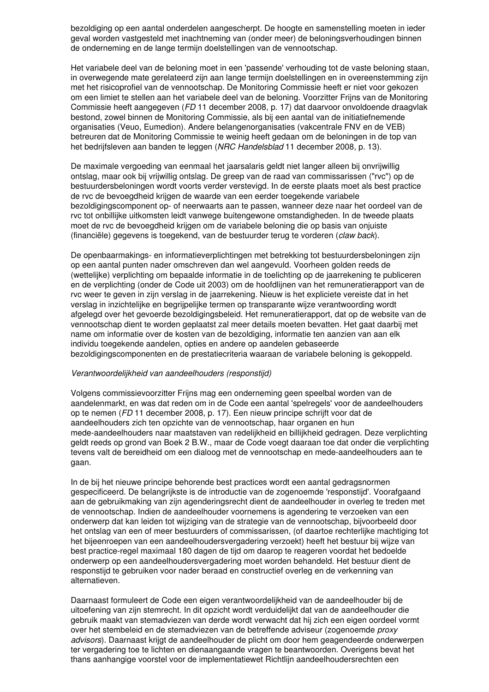bezoldiging op een aantal onderdelen aangescherpt. De hoogte en samenstelling moeten in ieder geval worden vastgesteld met inachtneming van (onder meer) de beloningsverhoudingen binnen de onderneming en de lange termijn doelstellingen van de vennootschap.

Het variabele deel van de beloning moet in een 'passende' verhouding tot de vaste beloning staan, in overwegende mate gerelateerd zijn aan lange termijn doelstellingen en in overeenstemming zijn met het risicoprofiel van de vennootschap. De Monitoring Commissie heeft er niet voor gekozen om een limiet te stellen aan het variabele deel van de beloning. Voorzitter Frijns van de Monitoring Commissie heeft aangegeven (*FD* 11 december 2008, p. 17) dat daarvoor onvoldoende draagvlak bestond, zowel binnen de Monitoring Commissie, als bij een aantal van de initiatiefnemende organisaties (Veuo, Eumedion). Andere belangenorganisaties (vakcentrale FNV en de VEB) betreuren dat de Monitoring Commissie te weinig heeft gedaan om de beloningen in de top van het bedrijfsleven aan banden te leggen (*NRC Handelsblad* 11 december 2008, p. 13).

De maximale vergoeding van eenmaal het jaarsalaris geldt niet langer alleen bij onvrijwillig ontslag, maar ook bij vrijwillig ontslag. De greep van de raad van commissarissen ("rvc") op de bestuurdersbeloningen wordt voorts verder verstevigd. In de eerste plaats moet als best practice de rvc de bevoegdheid krijgen de waarde van een eerder toegekende variabele bezoldigingscomponent op- of neerwaarts aan te passen, wanneer deze naar het oordeel van de rvc tot onbillijke uitkomsten leidt vanwege buitengewone omstandigheden. In de tweede plaats moet de rvc de bevoegdheid krijgen om de variabele beloning die op basis van onjuiste (financiële) gegevens is toegekend, van de bestuurder terug te vorderen (*claw back*).

De openbaarmakings- en informatieverplichtingen met betrekking tot bestuurdersbeloningen zijn op een aantal punten nader omschreven dan wel aangevuld. Voorheen golden reeds de (wettelijke) verplichting om bepaalde informatie in de toelichting op de jaarrekening te publiceren en de verplichting (onder de Code uit 2003) om de hoofdlijnen van het remuneratierapport van de rvc weer te geven in zijn verslag in de jaarrekening. Nieuw is het expliciete vereiste dat in het verslag in inzichtelijke en begrijpelijke termen op transparante wijze verantwoording wordt afgelegd over het gevoerde bezoldigingsbeleid. Het remuneratierapport, dat op de website van de vennootschap dient te worden geplaatst zal meer details moeten bevatten. Het gaat daarbij met name om informatie over de kosten van de bezoldiging, informatie ten aanzien van aan elk individu toegekende aandelen, opties en andere op aandelen gebaseerde bezoldigingscomponenten en de prestatiecriteria waaraan de variabele beloning is gekoppeld.

#### *Verantwoordelijkheid van aandeelhouders (responstijd)*

Volgens commissievoorzitter Frijns mag een onderneming geen speelbal worden van de aandelenmarkt, en was dat reden om in de Code een aantal 'spelregels' voor de aandeelhouders op te nemen (*FD* 11 december 2008, p. 17). Een nieuw principe schrijft voor dat de aandeelhouders zich ten opzichte van de vennootschap, haar organen en hun mede-aandeelhouders naar maatstaven van redelijkheid en billijkheid gedragen. Deze verplichting geldt reeds op grond van Boek 2 B.W., maar de Code voegt daaraan toe dat onder die verplichting tevens valt de bereidheid om een dialoog met de vennootschap en mede-aandeelhouders aan te gaan.

In de bij het nieuwe principe behorende best practices wordt een aantal gedragsnormen gespecificeerd. De belangrijkste is de introductie van de zogenoemde 'responstijd'. Voorafgaand aan de gebruikmaking van zijn agenderingsrecht dient de aandeelhouder in overleg te treden met de vennootschap. Indien de aandeelhouder voornemens is agendering te verzoeken van een onderwerp dat kan leiden tot wijziging van de strategie van de vennootschap, bijvoorbeeld door het ontslag van een of meer bestuurders of commissarissen, (of daartoe rechterlijke machtiging tot het bijeenroepen van een aandeelhoudersvergadering verzoekt) heeft het bestuur bij wijze van best practice-regel maximaal 180 dagen de tijd om daarop te reageren voordat het bedoelde onderwerp op een aandeelhoudersvergadering moet worden behandeld. Het bestuur dient de responstijd te gebruiken voor nader beraad en constructief overleg en de verkenning van alternatieven.

Daarnaast formuleert de Code een eigen verantwoordelijkheid van de aandeelhouder bij de uitoefening van zijn stemrecht. In dit opzicht wordt verduidelijkt dat van de aandeelhouder die gebruik maakt van stemadviezen van derde wordt verwacht dat hij zich een eigen oordeel vormt over het stembeleid en de stemadviezen van de betreffende adviseur (zogenoemde *proxy advisors*). Daarnaast krijgt de aandeelhouder de plicht om door hem geagendeerde onderwerpen ter vergadering toe te lichten en dienaangaande vragen te beantwoorden. Overigens bevat het thans aanhangige voorstel voor de implementatiewet Richtlijn aandeelhoudersrechten een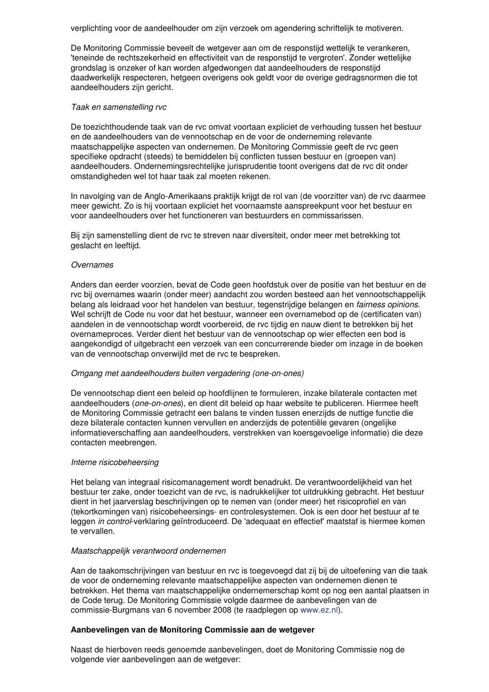verplichting voor de aandeelhouder om zijn verzoek om agendering schriftelijk te motiveren.

De Monitoring Commissie beveelt de wetgever aan om de responstijd wettelijk te verankeren, 'teneinde de rechtszekerheid en effectiviteit van de responstijd te vergroten'. Zonder wettelijke grondslag is onzeker of kan worden afgedwongen dat aandeelhouders de responstijd daadwerkelijk respecteren, hetgeen overigens ook geldt voor de overige gedragsnormen die tot aandeelhouders zijn gericht.

#### *Taak en samenstelling rvc*

De toezichthoudende taak van de rvc omvat voortaan expliciet de verhouding tussen het bestuur en de aandeelhouders van de vennootschap en de voor de onderneming relevante maatschappelijke aspecten van ondernemen. De Monitoring Commissie geeft de rvc geen specifieke opdracht (steeds) te bemiddelen bij conflicten tussen bestuur en (groepen van) aandeelhouders. Ondernemingsrechtelijke jurisprudentie toont overigens dat de rvc dit onder omstandigheden wel tot haar taak zal moeten rekenen.

In navolging van de Anglo-Amerikaans praktijk krijgt de rol van (de voorzitter van) de rvc daarmee meer gewicht. Zo is hij voortaan expliciet het voornaamste aanspreekpunt voor het bestuur en voor aandeelhouders over het functioneren van bestuurders en commissarissen.

Bij zijn samenstelling dient de rvc te streven naar diversiteit, onder meer met betrekking tot geslacht en leeftijd.

#### *Overnames*

Anders dan eerder voorzien, bevat de Code geen hoofdstuk over de positie van het bestuur en de rvc bij overnames waarin (onder meer) aandacht zou worden besteed aan het vennootschappelijk belang als leidraad voor het handelen van bestuur, tegenstrijdige belangen en *fairness opinions*. Wel schrijft de Code nu voor dat het bestuur, wanneer een overnamebod op de (certificaten van) aandelen in de vennootschap wordt voorbereid, de rvc tijdig en nauw dient te betrekken bij het overnameproces. Verder dient het bestuur van de vennootschap op wier effecten een bod is aangekondigd of uitgebracht een verzoek van een concurrerende bieder om inzage in de boeken van de vennootschap onverwijld met de rvc te bespreken.

#### *Omgang met aandeelhouders buiten vergadering (one-on-ones)*

De vennootschap dient een beleid op hoofdlijnen te formuleren, inzake bilaterale contacten met aandeelhouders (*one-on-ones*), en dient dit beleid op haar website te publiceren. Hiermee heeft de Monitoring Commissie getracht een balans te vinden tussen enerzijds de nuttige functie die deze bilaterale contacten kunnen vervullen en anderzijds de potentiële gevaren (ongelijke informatieverschaffing aan aandeelhouders, verstrekken van koersgevoelige informatie) die deze contacten meebrengen.

#### *Interne risicobeheersing*

Het belang van integraal risicomanagement wordt benadrukt. De verantwoordelijkheid van het bestuur ter zake, onder toezicht van de rvc, is nadrukkelijker tot uitdrukking gebracht. Het bestuur dient in het jaarverslag beschrijvingen op te nemen van (onder meer) het risicoprofiel en van (tekortkomingen van) risicobeheersings- en controlesystemen. Ook is een door het bestuur af te leggen *in control*-verklaring geïntroduceerd. De 'adequaat en effectief' maatstaf is hiermee komen te vervallen.

#### *Maatschappelijk verantwoord ondernemen*

Aan de taakomschrijvingen van bestuur en rvc is toegevoegd dat zij bij de uitoefening van die taak de voor de onderneming relevante maatschappelijke aspecten van ondernemen dienen te betrekken. Het thema van maatschappelijke ondernemerschap komt op nog een aantal plaatsen in de Code terug. De Monitoring Commissie volgde daarmee de aanbevelingen van de commissie-Burgmans van 6 november 2008 (te raadplegen op [www.ez.nl](http://www.ez.nl/)).

#### **Aanbevelingen van de Monitoring Commissie aan de wetgever**

Naast de hierboven reeds genoemde aanbevelingen, doet de Monitoring Commissie nog de volgende vier aanbevelingen aan de wetgever: